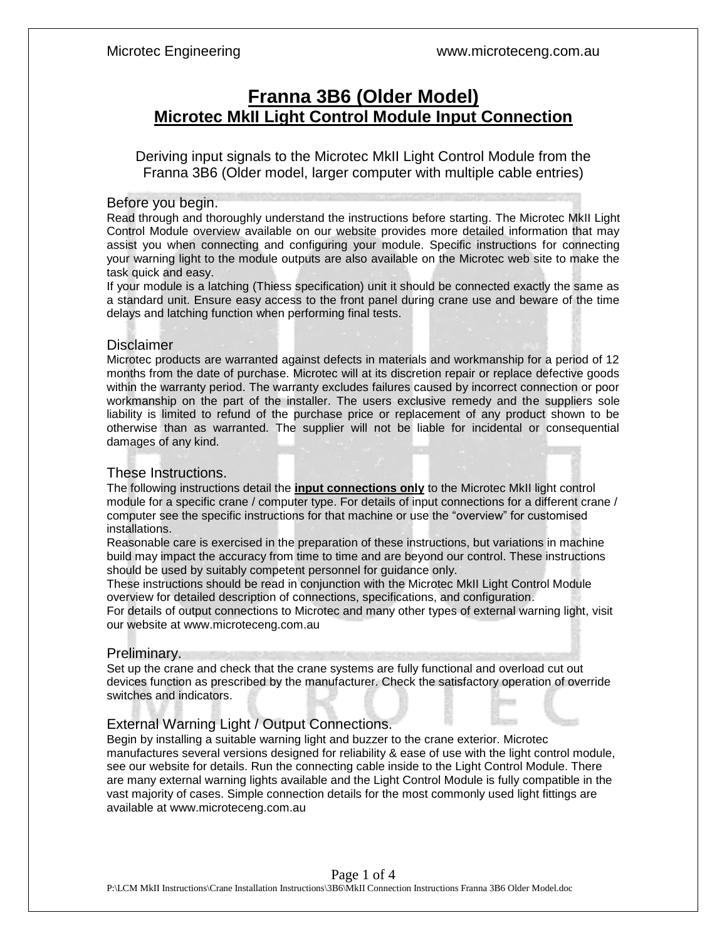# **Franna 3B6 (Older Model) Microtec MkII Light Control Module Input Connection**

Deriving input signals to the Microtec MkII Light Control Module from the Franna 3B6 (Older model, larger computer with multiple cable entries)

### Before you begin.

Read through and thoroughly understand the instructions before starting. The Microtec MkII Light Control Module overview available on our website provides more detailed information that may assist you when connecting and configuring your module. Specific instructions for connecting your warning light to the module outputs are also available on the Microtec web site to make the task quick and easy.

If your module is a latching (Thiess specification) unit it should be connected exactly the same as a standard unit. Ensure easy access to the front panel during crane use and beware of the time delays and latching function when performing final tests.

### **Disclaimer**

Microtec products are warranted against defects in materials and workmanship for a period of 12 months from the date of purchase. Microtec will at its discretion repair or replace defective goods within the warranty period. The warranty excludes failures caused by incorrect connection or poor workmanship on the part of the installer. The users exclusive remedy and the suppliers sole liability is limited to refund of the purchase price or replacement of any product shown to be otherwise than as warranted. The supplier will not be liable for incidental or consequential damages of any kind.

### These Instructions.

The following instructions detail the **input connections only** to the Microtec MkII light control module for a specific crane / computer type. For details of input connections for a different crane / computer see the specific instructions for that machine or use the "overview" for customised installations.

Reasonable care is exercised in the preparation of these instructions, but variations in machine build may impact the accuracy from time to time and are beyond our control. These instructions should be used by suitably competent personnel for guidance only.

These instructions should be read in conjunction with the Microtec MkII Light Control Module overview for detailed description of connections, specifications, and configuration.

For details of output connections to Microtec and many other types of external warning light, visit our website at www.microteceng.com.au

### Preliminary.

Set up the crane and check that the crane systems are fully functional and overload cut out devices function as prescribed by the manufacturer. Check the satisfactory operation of override switches and indicators.

### External Warning Light / Output Connections.

Begin by installing a suitable warning light and buzzer to the crane exterior. Microtec manufactures several versions designed for reliability & ease of use with the light control module, see our website for details. Run the connecting cable inside to the Light Control Module. There are many external warning lights available and the Light Control Module is fully compatible in the vast majority of cases. Simple connection details for the most commonly used light fittings are available at www.microteceng.com.au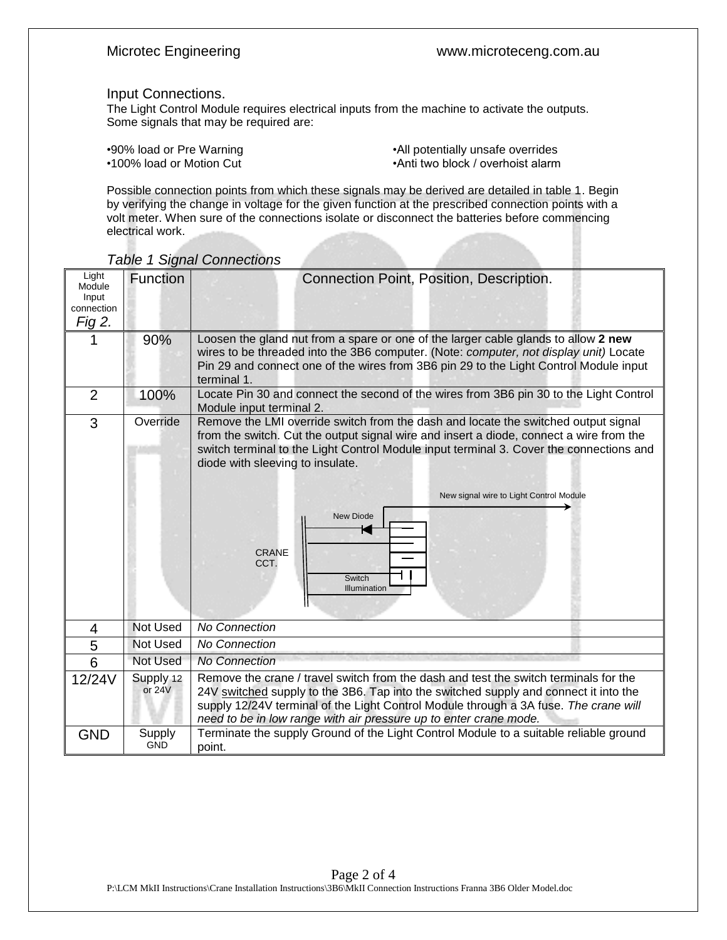### Input Connections.

The Light Control Module requires electrical inputs from the machine to activate the outputs. Some signals that may be required are:

•90% load or Pre Warning extending the state of the Marning of All potentially unsafe overrides<br>•100% load or Motion Cut extending the state of the Marning of Anti two block / overhoist alarm •Anti two block / overhoist alarm

Possible connection points from which these signals may be derived are detailed in table 1. Begin by verifying the change in voltage for the given function at the prescribed connection points with a volt meter. When sure of the connections isolate or disconnect the batteries before commencing electrical work.

| Light<br>Module<br>Input<br>connection<br>Fig 2. | Function              | Connection Point, Position, Description.                                                                                                                                                                                                                                                                                                                                                                                      |  |  |
|--------------------------------------------------|-----------------------|-------------------------------------------------------------------------------------------------------------------------------------------------------------------------------------------------------------------------------------------------------------------------------------------------------------------------------------------------------------------------------------------------------------------------------|--|--|
|                                                  | 90%                   | Loosen the gland nut from a spare or one of the larger cable glands to allow 2 new<br>wires to be threaded into the 3B6 computer. (Note: computer, not display unit) Locate<br>Pin 29 and connect one of the wires from 3B6 pin 29 to the Light Control Module input<br>terminal 1.                                                                                                                                           |  |  |
| $\overline{2}$                                   | 100%                  | Locate Pin 30 and connect the second of the wires from 3B6 pin 30 to the Light Control<br>Module input terminal 2.                                                                                                                                                                                                                                                                                                            |  |  |
| 3                                                | Override              | Remove the LMI override switch from the dash and locate the switched output signal<br>from the switch. Cut the output signal wire and insert a diode, connect a wire from the<br>switch terminal to the Light Control Module input terminal 3. Cover the connections and<br>diode with sleeving to insulate.<br>New signal wire to Light Control Module<br><b>New Diode</b><br><b>CRANE</b><br>CCT.<br>Switch<br>Illumination |  |  |
| 4                                                | Not Used              | <b>No Connection</b>                                                                                                                                                                                                                                                                                                                                                                                                          |  |  |
| 5                                                | <b>Not Used</b>       | <b>No Connection</b>                                                                                                                                                                                                                                                                                                                                                                                                          |  |  |
| $\overline{6}$                                   | Not Used              | <b>No Connection</b>                                                                                                                                                                                                                                                                                                                                                                                                          |  |  |
| 12/24V                                           | Supply 12<br>or $24V$ | Remove the crane / travel switch from the dash and test the switch terminals for the<br>24V switched supply to the 3B6. Tap into the switched supply and connect it into the<br>supply 12/24V terminal of the Light Control Module through a 3A fuse. The crane will<br>need to be in low range with air pressure up to enter crane mode.                                                                                     |  |  |
| <b>GND</b>                                       | Supply<br><b>GND</b>  | Terminate the supply Ground of the Light Control Module to a suitable reliable ground<br>point.                                                                                                                                                                                                                                                                                                                               |  |  |

*Table 1 Signal Connections*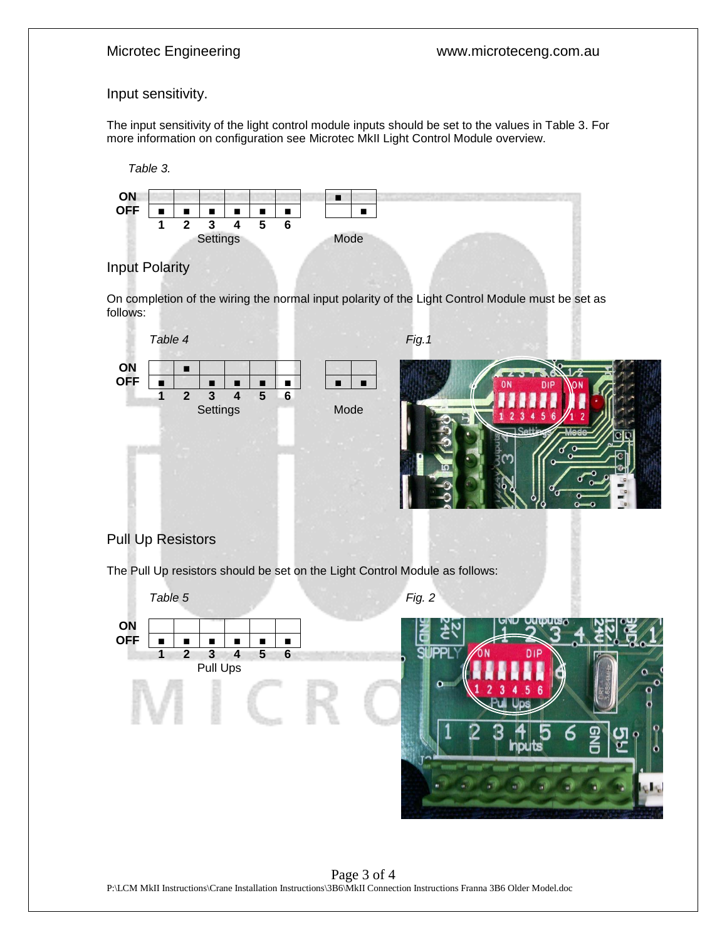### Input sensitivity.

The input sensitivity of the light control module inputs should be set to the values in Table 3. For more information on configuration see Microtec MkII Light Control Module overview.





## Input Polarity

On completion of the wiring the normal input polarity of the Light Control Module must be set as follows:



# Pull Up Resistors

The Pull Up resistors should be set on the Light Control Module as follows: